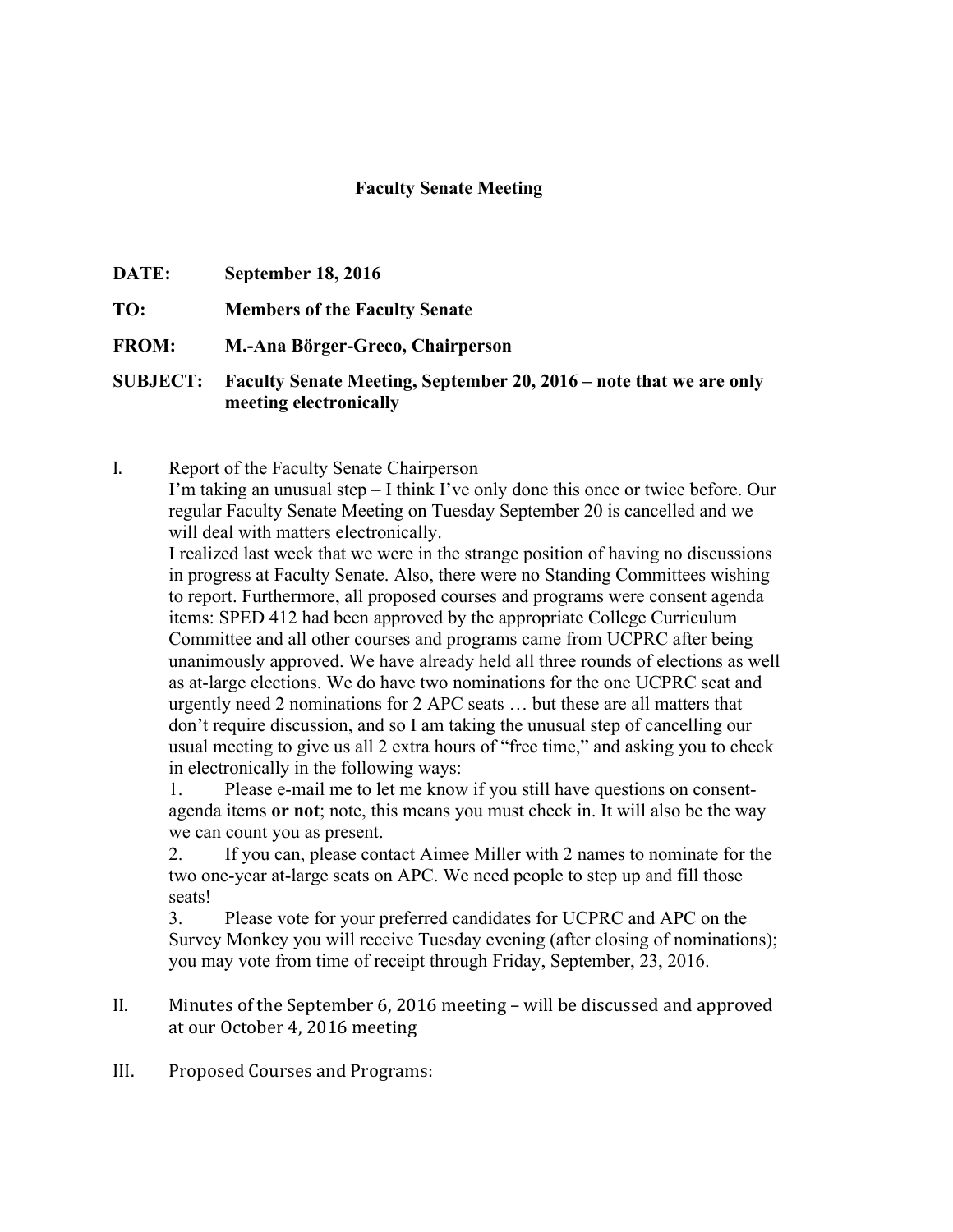## **Faculty Senate Meeting**

| <b>DATE:</b>    | <b>September 18, 2016</b>                                                                    |
|-----------------|----------------------------------------------------------------------------------------------|
| TO:             | <b>Members of the Faculty Senate</b>                                                         |
| <b>FROM:</b>    | M.-Ana Börger-Greco, Chairperson                                                             |
| <b>SUBJECT:</b> | Faculty Senate Meeting, September 20, 2016 – note that we are only<br>meeting electronically |

I. Report of the Faculty Senate Chairperson I'm taking an unusual step – I think I've only done this once or twice before. Our regular Faculty Senate Meeting on Tuesday September 20 is cancelled and we will deal with matters electronically.

I realized last week that we were in the strange position of having no discussions in progress at Faculty Senate. Also, there were no Standing Committees wishing to report. Furthermore, all proposed courses and programs were consent agenda items: SPED 412 had been approved by the appropriate College Curriculum Committee and all other courses and programs came from UCPRC after being unanimously approved. We have already held all three rounds of elections as well as at-large elections. We do have two nominations for the one UCPRC seat and urgently need 2 nominations for 2 APC seats … but these are all matters that don't require discussion, and so I am taking the unusual step of cancelling our usual meeting to give us all 2 extra hours of "free time," and asking you to check in electronically in the following ways:

1. Please e-mail me to let me know if you still have questions on consentagenda items **or not**; note, this means you must check in. It will also be the way we can count you as present.

2. If you can, please contact Aimee Miller with 2 names to nominate for the two one-year at-large seats on APC. We need people to step up and fill those seats!

3. Please vote for your preferred candidates for UCPRC and APC on the Survey Monkey you will receive Tuesday evening (after closing of nominations); you may vote from time of receipt through Friday, September, 23, 2016.

- II. Minutes of the September 6, 2016 meeting will be discussed and approved at our October 4, 2016 meeting
- III. Proposed Courses and Programs: